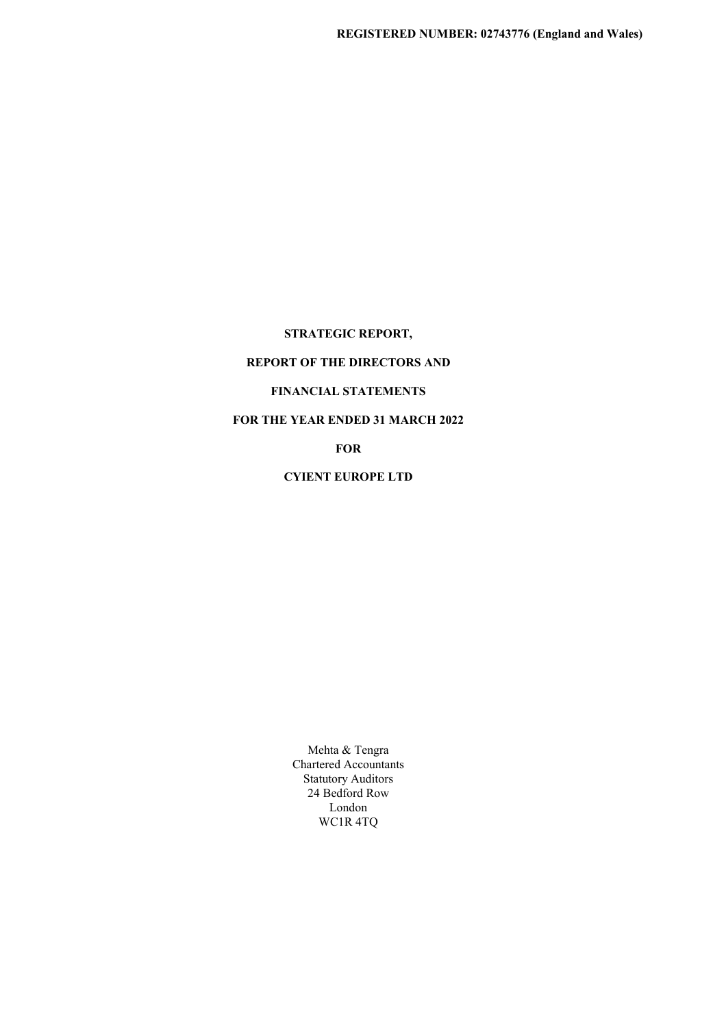STRATEGIC REPORT,

# REPORT OF THE DIRECTORS AND

## FINANCIAL STATEMENTS

# FOR THE YEAR ENDED 31 MARCH 2022

FOR

CYIENT EUROPE LTD

Mehta & Tengra Chartered Accountants Statutory Auditors 24 Bedford Row London WC1R 4TQ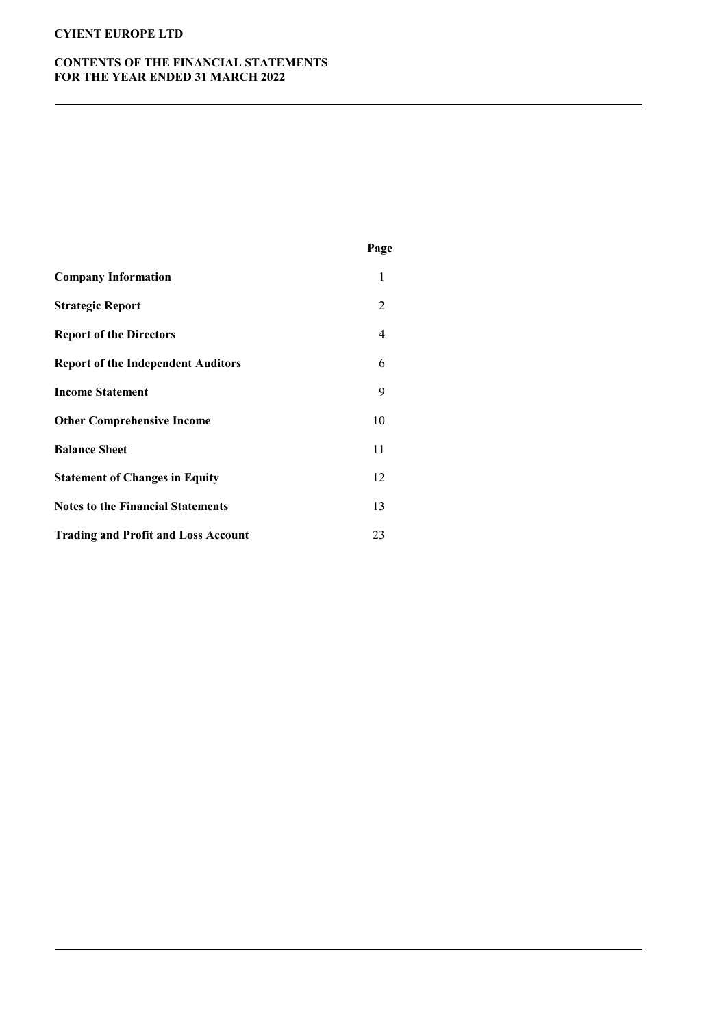# CONTENTS OF THE FINANCIAL STATEMENTS FOR THE YEAR ENDED 31 MARCH 2022

|                                            | Page |
|--------------------------------------------|------|
| <b>Company Information</b>                 | 1    |
| <b>Strategic Report</b>                    | 2    |
| <b>Report of the Directors</b>             | 4    |
| <b>Report of the Independent Auditors</b>  | 6    |
| <b>Income Statement</b>                    | 9    |
| <b>Other Comprehensive Income</b>          | 10   |
| <b>Balance Sheet</b>                       | 11   |
| <b>Statement of Changes in Equity</b>      | 12   |
| <b>Notes to the Financial Statements</b>   | 13   |
| <b>Trading and Profit and Loss Account</b> | 23   |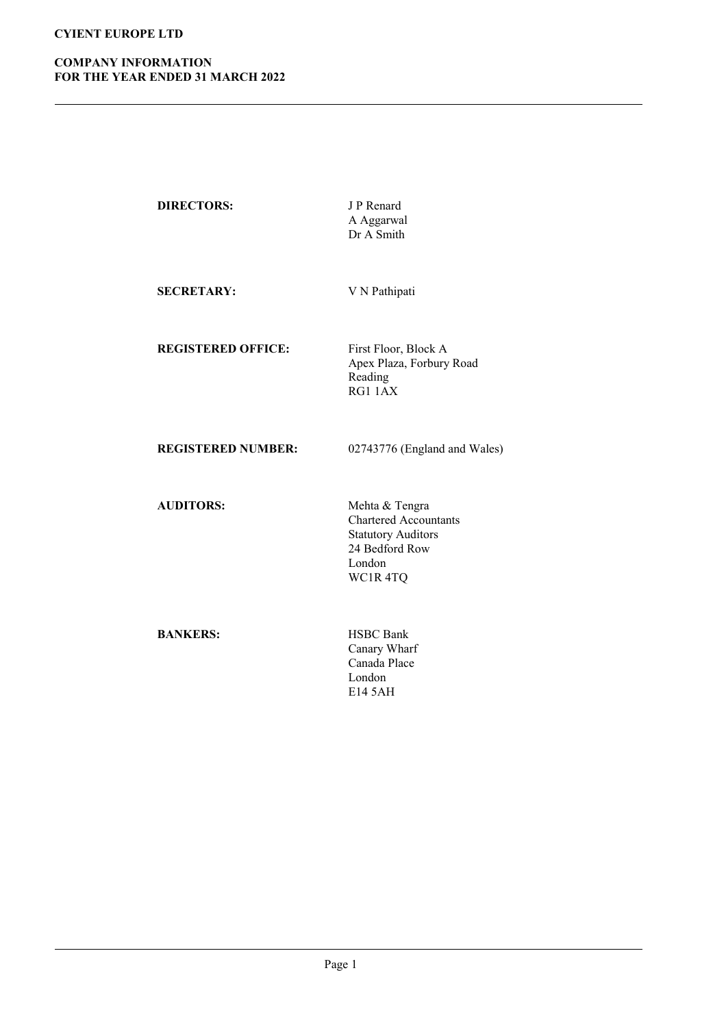# COMPANY INFORMATION FOR THE YEAR ENDED 31 MARCH 2022

| <b>DIRECTORS:</b>         | J P Renard<br>A Aggarwal<br>Dr A Smith                                                                             |
|---------------------------|--------------------------------------------------------------------------------------------------------------------|
| <b>SECRETARY:</b>         | V N Pathipati                                                                                                      |
| <b>REGISTERED OFFICE:</b> | First Floor, Block A<br>Apex Plaza, Forbury Road<br>Reading<br>RG1 1AX                                             |
| <b>REGISTERED NUMBER:</b> | 02743776 (England and Wales)                                                                                       |
| <b>AUDITORS:</b>          | Mehta & Tengra<br><b>Chartered Accountants</b><br><b>Statutory Auditors</b><br>24 Bedford Row<br>London<br>WC1R4TQ |
| <b>BANKERS:</b>           | <b>HSBC</b> Bank<br>Canary Wharf<br>Canada Place<br>London<br>E14 5AH                                              |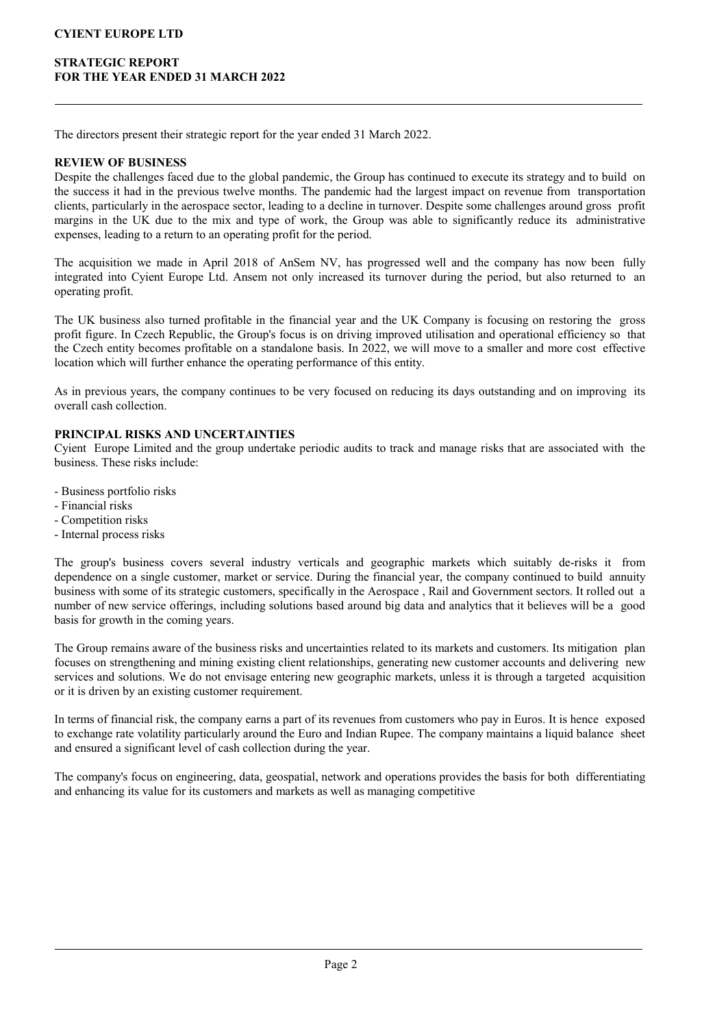## STRATEGIC REPORT FOR THE YEAR ENDED 31 MARCH 2022

The directors present their strategic report for the year ended 31 March 2022.

### REVIEW OF BUSINESS

Despite the challenges faced due to the global pandemic, the Group has continued to execute its strategy and to build on the success it had in the previous twelve months. The pandemic had the largest impact on revenue from transportation clients, particularly in the aerospace sector, leading to a decline in turnover. Despite some challenges around gross profit margins in the UK due to the mix and type of work, the Group was able to significantly reduce its administrative expenses, leading to a return to an operating profit for the period.

The acquisition we made in April 2018 of AnSem NV, has progressed well and the company has now been fully integrated into Cyient Europe Ltd. Ansem not only increased its turnover during the period, but also returned to an operating profit.

The UK business also turned profitable in the financial year and the UK Company is focusing on restoring the gross profit figure. In Czech Republic, the Group's focus is on driving improved utilisation and operational efficiency so that the Czech entity becomes profitable on a standalone basis. In 2022, we will move to a smaller and more cost effective location which will further enhance the operating performance of this entity.

As in previous years, the company continues to be very focused on reducing its days outstanding and on improving its overall cash collection.

### PRINCIPAL RISKS AND UNCERTAINTIES

Cyient Europe Limited and the group undertake periodic audits to track and manage risks that are associated with the business. These risks include:

- Business portfolio risks

- Financial risks
- Competition risks
- Internal process risks

The group's business covers several industry verticals and geographic markets which suitably de-risks it from dependence on a single customer, market or service. During the financial year, the company continued to build annuity business with some of its strategic customers, specifically in the Aerospace , Rail and Government sectors. It rolled out a number of new service offerings, including solutions based around big data and analytics that it believes will be a good basis for growth in the coming years.

The Group remains aware of the business risks and uncertainties related to its markets and customers. Its mitigation plan focuses on strengthening and mining existing client relationships, generating new customer accounts and delivering new services and solutions. We do not envisage entering new geographic markets, unless it is through a targeted acquisition or it is driven by an existing customer requirement.

In terms of financial risk, the company earns a part of its revenues from customers who pay in Euros. It is hence exposed to exchange rate volatility particularly around the Euro and Indian Rupee. The company maintains a liquid balance sheet and ensured a significant level of cash collection during the year.

The company's focus on engineering, data, geospatial, network and operations provides the basis for both differentiating and enhancing its value for its customers and markets as well as managing competitive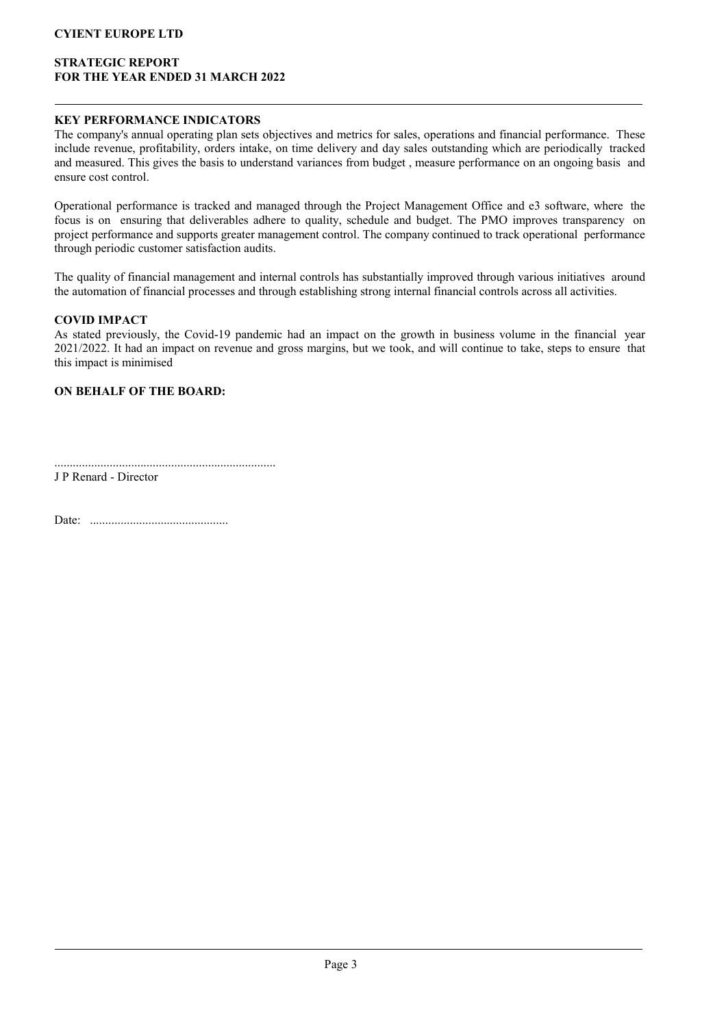## STRATEGIC REPORT FOR THE YEAR ENDED 31 MARCH 2022

### KEY PERFORMANCE INDICATORS

The company's annual operating plan sets objectives and metrics for sales, operations and financial performance. These include revenue, profitability, orders intake, on time delivery and day sales outstanding which are periodically tracked and measured. This gives the basis to understand variances from budget , measure performance on an ongoing basis and ensure cost control.

Operational performance is tracked and managed through the Project Management Office and e3 software, where the focus is on ensuring that deliverables adhere to quality, schedule and budget. The PMO improves transparency on project performance and supports greater management control. The company continued to track operational performance through periodic customer satisfaction audits.

The quality of financial management and internal controls has substantially improved through various initiatives around the automation of financial processes and through establishing strong internal financial controls across all activities.

### COVID IMPACT

As stated previously, the Covid-19 pandemic had an impact on the growth in business volume in the financial year 2021/2022. It had an impact on revenue and gross margins, but we took, and will continue to take, steps to ensure that this impact is minimised

### ON BEHALF OF THE BOARD:

........................................................................ J P Renard - Director

Date: .............................................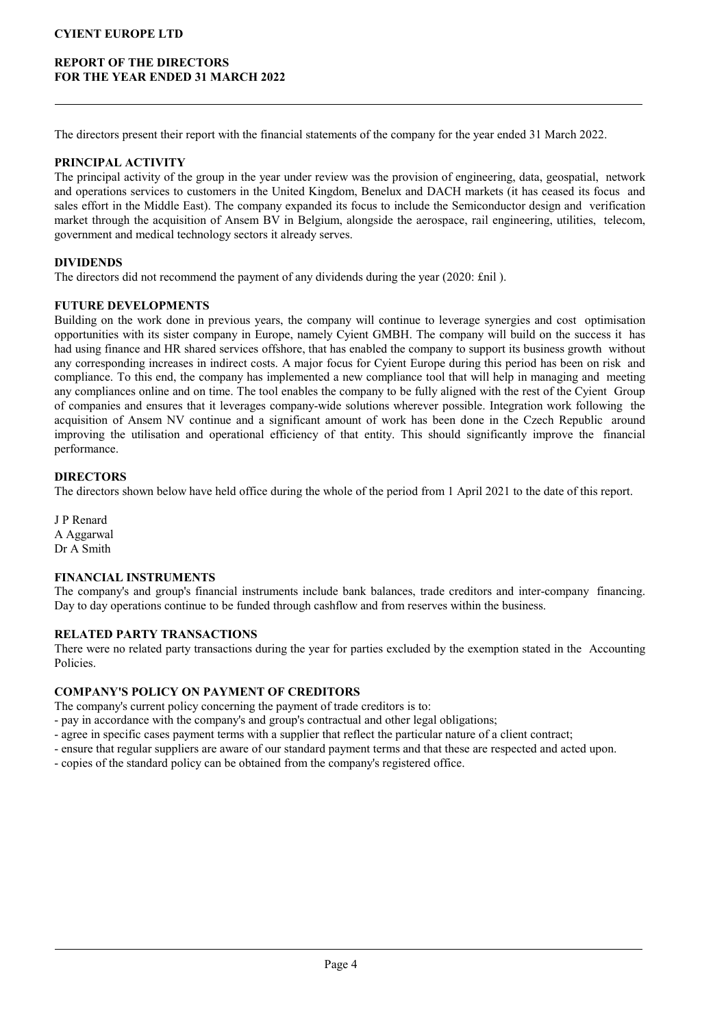## REPORT OF THE DIRECTORS FOR THE YEAR ENDED 31 MARCH 2022

The directors present their report with the financial statements of the company for the year ended 31 March 2022.

### PRINCIPAL ACTIVITY

The principal activity of the group in the year under review was the provision of engineering, data, geospatial, network and operations services to customers in the United Kingdom, Benelux and DACH markets (it has ceased its focus and sales effort in the Middle East). The company expanded its focus to include the Semiconductor design and verification market through the acquisition of Ansem BV in Belgium, alongside the aerospace, rail engineering, utilities, telecom, government and medical technology sectors it already serves.

### DIVIDENDS

The directors did not recommend the payment of any dividends during the year (2020: £nil ).

### FUTURE DEVELOPMENTS

Building on the work done in previous years, the company will continue to leverage synergies and cost optimisation opportunities with its sister company in Europe, namely Cyient GMBH. The company will build on the success it has had using finance and HR shared services offshore, that has enabled the company to support its business growth without any corresponding increases in indirect costs. A major focus for Cyient Europe during this period has been on risk and compliance. To this end, the company has implemented a new compliance tool that will help in managing and meeting any compliances online and on time. The tool enables the company to be fully aligned with the rest of the Cyient Group of companies and ensures that it leverages company-wide solutions wherever possible. Integration work following the acquisition of Ansem NV continue and a significant amount of work has been done in the Czech Republic around improving the utilisation and operational efficiency of that entity. This should significantly improve the financial performance.

### **DIRECTORS**

The directors shown below have held office during the whole of the period from 1 April 2021 to the date of this report.

J P Renard A Aggarwal Dr A Smith

### FINANCIAL INSTRUMENTS

The company's and group's financial instruments include bank balances, trade creditors and inter-company financing. Day to day operations continue to be funded through cashflow and from reserves within the business.

## RELATED PARTY TRANSACTIONS

There were no related party transactions during the year for parties excluded by the exemption stated in the Accounting Policies.

### COMPANY'S POLICY ON PAYMENT OF CREDITORS

The company's current policy concerning the payment of trade creditors is to:

- pay in accordance with the company's and group's contractual and other legal obligations;

- agree in specific cases payment terms with a supplier that reflect the particular nature of a client contract;
- ensure that regular suppliers are aware of our standard payment terms and that these are respected and acted upon.
- copies of the standard policy can be obtained from the company's registered office.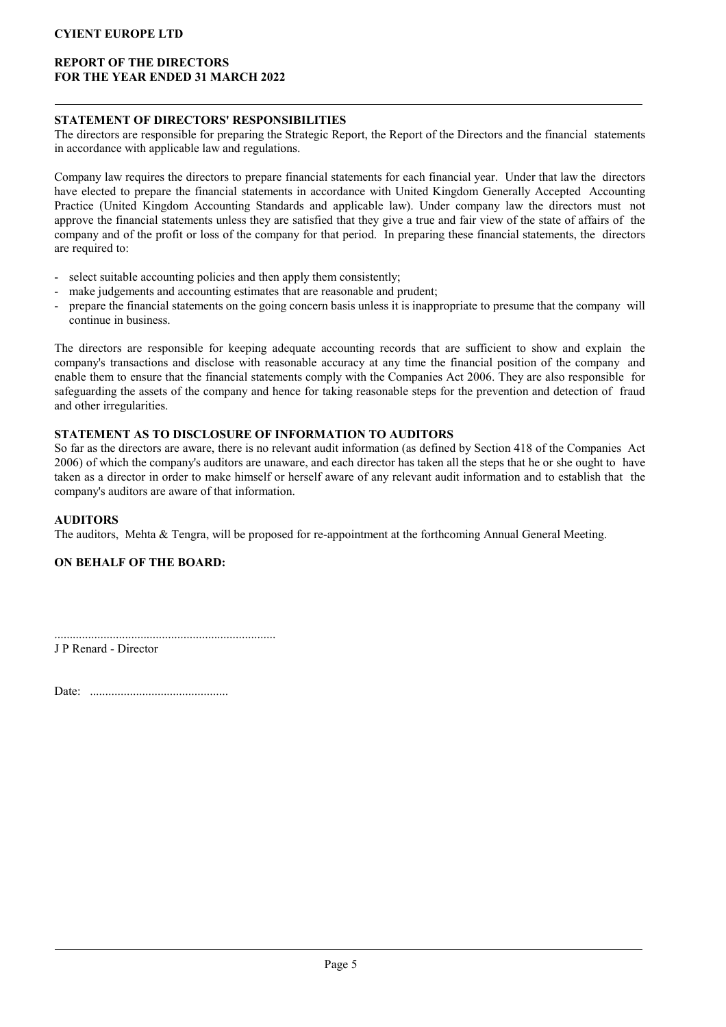## REPORT OF THE DIRECTORS FOR THE YEAR ENDED 31 MARCH 2022

### STATEMENT OF DIRECTORS' RESPONSIBILITIES

The directors are responsible for preparing the Strategic Report, the Report of the Directors and the financial statements in accordance with applicable law and regulations.

Company law requires the directors to prepare financial statements for each financial year. Under that law the directors have elected to prepare the financial statements in accordance with United Kingdom Generally Accepted Accounting Practice (United Kingdom Accounting Standards and applicable law). Under company law the directors must not approve the financial statements unless they are satisfied that they give a true and fair view of the state of affairs of the company and of the profit or loss of the company for that period. In preparing these financial statements, the directors are required to:

- select suitable accounting policies and then apply them consistently:
- make judgements and accounting estimates that are reasonable and prudent;
- prepare the financial statements on the going concern basis unless it is inappropriate to presume that the company will continue in business.

The directors are responsible for keeping adequate accounting records that are sufficient to show and explain the company's transactions and disclose with reasonable accuracy at any time the financial position of the company and enable them to ensure that the financial statements comply with the Companies Act 2006. They are also responsible for safeguarding the assets of the company and hence for taking reasonable steps for the prevention and detection of fraud and other irregularities.

# STATEMENT AS TO DISCLOSURE OF INFORMATION TO AUDITORS

So far as the directors are aware, there is no relevant audit information (as defined by Section 418 of the Companies Act 2006) of which the company's auditors are unaware, and each director has taken all the steps that he or she ought to have taken as a director in order to make himself or herself aware of any relevant audit information and to establish that the company's auditors are aware of that information.

## AUDITORS

The auditors, Mehta & Tengra, will be proposed for re-appointment at the forthcoming Annual General Meeting.

## ON BEHALF OF THE BOARD:

........................................................................ J P Renard - Director

Date: .............................................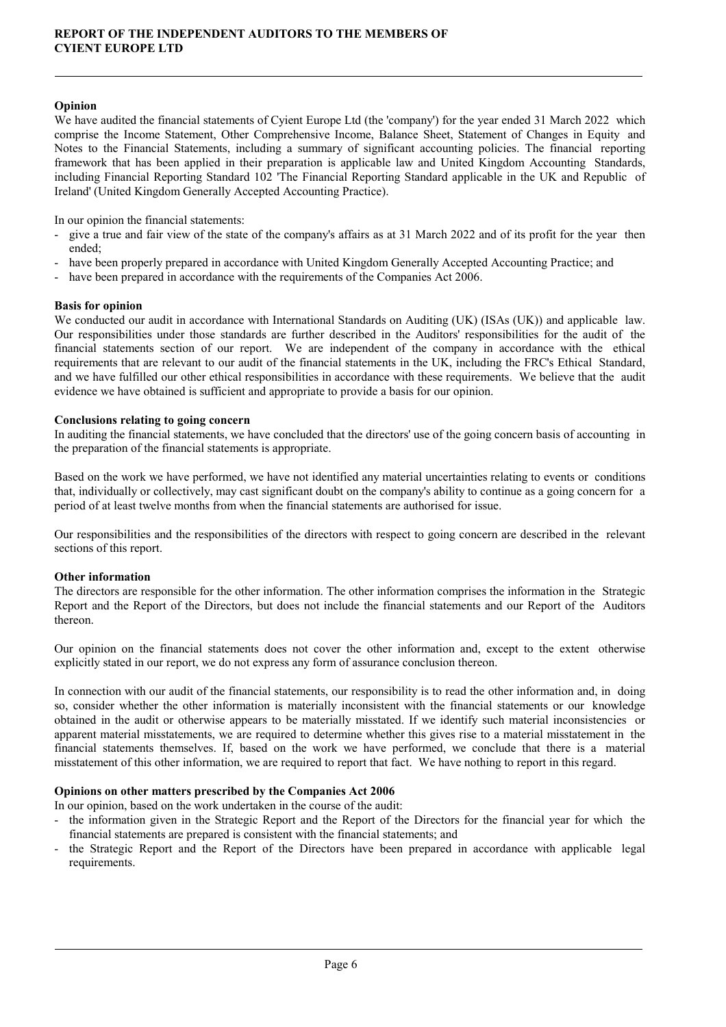### Opinion

We have audited the financial statements of Cyient Europe Ltd (the 'company') for the year ended 31 March 2022 which comprise the Income Statement, Other Comprehensive Income, Balance Sheet, Statement of Changes in Equity and Notes to the Financial Statements, including a summary of significant accounting policies. The financial reporting framework that has been applied in their preparation is applicable law and United Kingdom Accounting Standards, including Financial Reporting Standard 102 'The Financial Reporting Standard applicable in the UK and Republic of Ireland' (United Kingdom Generally Accepted Accounting Practice).

In our opinion the financial statements:

- give a true and fair view of the state of the company's affairs as at 31 March 2022 and of its profit for the year then ended;
- have been properly prepared in accordance with United Kingdom Generally Accepted Accounting Practice; and
- have been prepared in accordance with the requirements of the Companies Act 2006.

#### Basis for opinion

We conducted our audit in accordance with International Standards on Auditing (UK) (ISAs (UK)) and applicable law. Our responsibilities under those standards are further described in the Auditors' responsibilities for the audit of the financial statements section of our report. We are independent of the company in accordance with the ethical requirements that are relevant to our audit of the financial statements in the UK, including the FRC's Ethical Standard, and we have fulfilled our other ethical responsibilities in accordance with these requirements. We believe that the audit evidence we have obtained is sufficient and appropriate to provide a basis for our opinion.

#### Conclusions relating to going concern

In auditing the financial statements, we have concluded that the directors' use of the going concern basis of accounting in the preparation of the financial statements is appropriate.

Based on the work we have performed, we have not identified any material uncertainties relating to events or conditions that, individually or collectively, may cast significant doubt on the company's ability to continue as a going concern for a period of at least twelve months from when the financial statements are authorised for issue.

Our responsibilities and the responsibilities of the directors with respect to going concern are described in the relevant sections of this report.

#### Other information

The directors are responsible for the other information. The other information comprises the information in the Strategic Report and the Report of the Directors, but does not include the financial statements and our Report of the Auditors thereon.

Our opinion on the financial statements does not cover the other information and, except to the extent otherwise explicitly stated in our report, we do not express any form of assurance conclusion thereon.

In connection with our audit of the financial statements, our responsibility is to read the other information and, in doing so, consider whether the other information is materially inconsistent with the financial statements or our knowledge obtained in the audit or otherwise appears to be materially misstated. If we identify such material inconsistencies or apparent material misstatements, we are required to determine whether this gives rise to a material misstatement in the financial statements themselves. If, based on the work we have performed, we conclude that there is a material misstatement of this other information, we are required to report that fact. We have nothing to report in this regard.

#### Opinions on other matters prescribed by the Companies Act 2006

In our opinion, based on the work undertaken in the course of the audit:

- the information given in the Strategic Report and the Report of the Directors for the financial year for which the financial statements are prepared is consistent with the financial statements; and
- the Strategic Report and the Report of the Directors have been prepared in accordance with applicable legal requirements.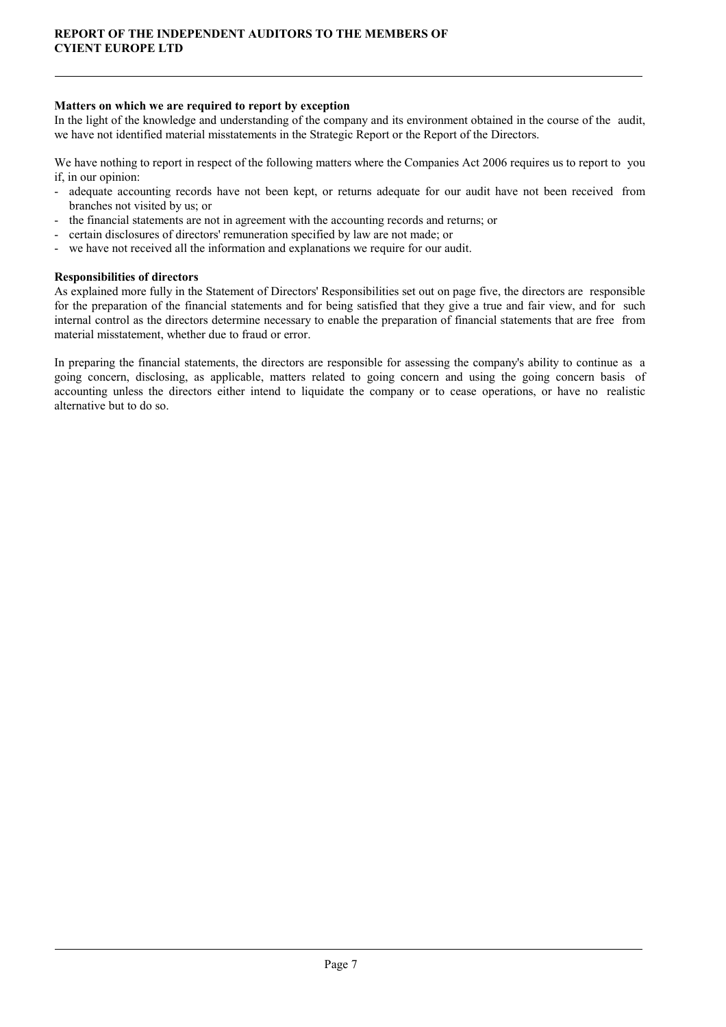### Matters on which we are required to report by exception

In the light of the knowledge and understanding of the company and its environment obtained in the course of the audit, we have not identified material misstatements in the Strategic Report or the Report of the Directors.

We have nothing to report in respect of the following matters where the Companies Act 2006 requires us to report to you if, in our opinion:

- adequate accounting records have not been kept, or returns adequate for our audit have not been received from branches not visited by us; or
- the financial statements are not in agreement with the accounting records and returns; or
- certain disclosures of directors' remuneration specified by law are not made; or
- we have not received all the information and explanations we require for our audit.

### Responsibilities of directors

As explained more fully in the Statement of Directors' Responsibilities set out on page five, the directors are responsible for the preparation of the financial statements and for being satisfied that they give a true and fair view, and for such internal control as the directors determine necessary to enable the preparation of financial statements that are free from material misstatement, whether due to fraud or error.

In preparing the financial statements, the directors are responsible for assessing the company's ability to continue as a going concern, disclosing, as applicable, matters related to going concern and using the going concern basis of accounting unless the directors either intend to liquidate the company or to cease operations, or have no realistic alternative but to do so.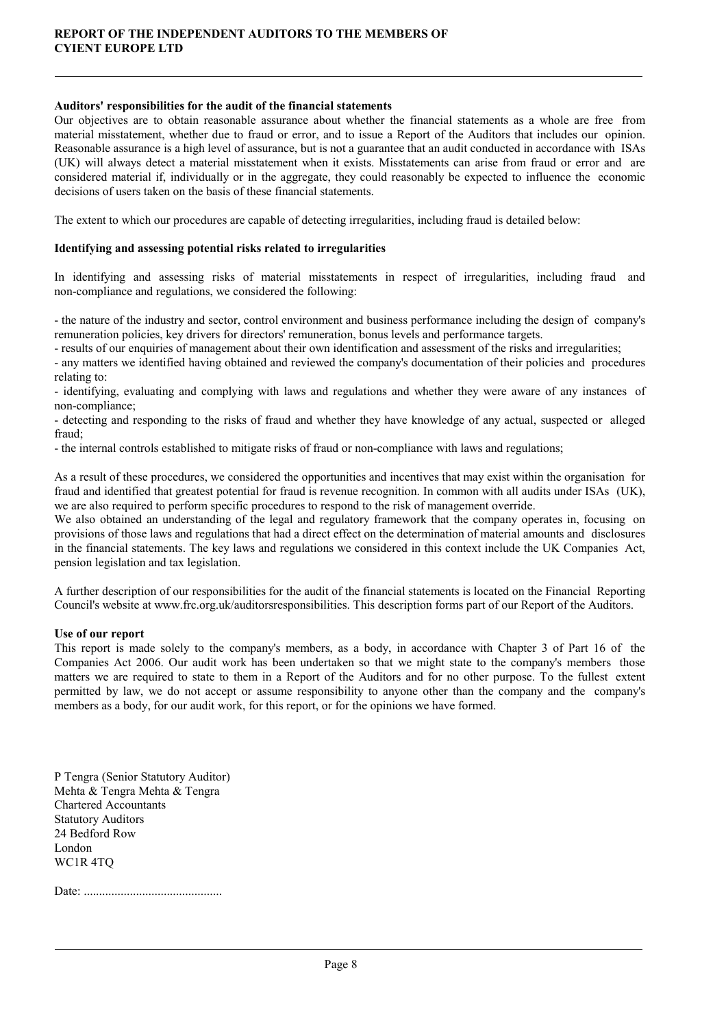### Auditors' responsibilities for the audit of the financial statements

Our objectives are to obtain reasonable assurance about whether the financial statements as a whole are free from material misstatement, whether due to fraud or error, and to issue a Report of the Auditors that includes our opinion. Reasonable assurance is a high level of assurance, but is not a guarantee that an audit conducted in accordance with ISAs (UK) will always detect a material misstatement when it exists. Misstatements can arise from fraud or error and are considered material if, individually or in the aggregate, they could reasonably be expected to influence the economic decisions of users taken on the basis of these financial statements.

The extent to which our procedures are capable of detecting irregularities, including fraud is detailed below:

### Identifying and assessing potential risks related to irregularities

In identifying and assessing risks of material misstatements in respect of irregularities, including fraud and non-compliance and regulations, we considered the following:

- the nature of the industry and sector, control environment and business performance including the design of company's remuneration policies, key drivers for directors' remuneration, bonus levels and performance targets.

- results of our enquiries of management about their own identification and assessment of the risks and irregularities;

- any matters we identified having obtained and reviewed the company's documentation of their policies and procedures relating to:

- identifying, evaluating and complying with laws and regulations and whether they were aware of any instances of non-compliance;

- detecting and responding to the risks of fraud and whether they have knowledge of any actual, suspected or alleged fraud;

- the internal controls established to mitigate risks of fraud or non-compliance with laws and regulations;

As a result of these procedures, we considered the opportunities and incentives that may exist within the organisation for fraud and identified that greatest potential for fraud is revenue recognition. In common with all audits under ISAs (UK), we are also required to perform specific procedures to respond to the risk of management override.

We also obtained an understanding of the legal and regulatory framework that the company operates in, focusing on provisions of those laws and regulations that had a direct effect on the determination of material amounts and disclosures in the financial statements. The key laws and regulations we considered in this context include the UK Companies Act, pension legislation and tax legislation.

A further description of our responsibilities for the audit of the financial statements is located on the Financial Reporting Council's website at www.frc.org.uk/auditorsresponsibilities. This description forms part of our Report of the Auditors.

### Use of our report

This report is made solely to the company's members, as a body, in accordance with Chapter 3 of Part 16 of the Companies Act 2006. Our audit work has been undertaken so that we might state to the company's members those matters we are required to state to them in a Report of the Auditors and for no other purpose. To the fullest extent permitted by law, we do not accept or assume responsibility to anyone other than the company and the company's members as a body, for our audit work, for this report, or for the opinions we have formed.

P Tengra (Senior Statutory Auditor) Mehta & Tengra Mehta & Tengra Chartered Accountants Statutory Auditors 24 Bedford Row London WC1R 4TQ

Date: .............................................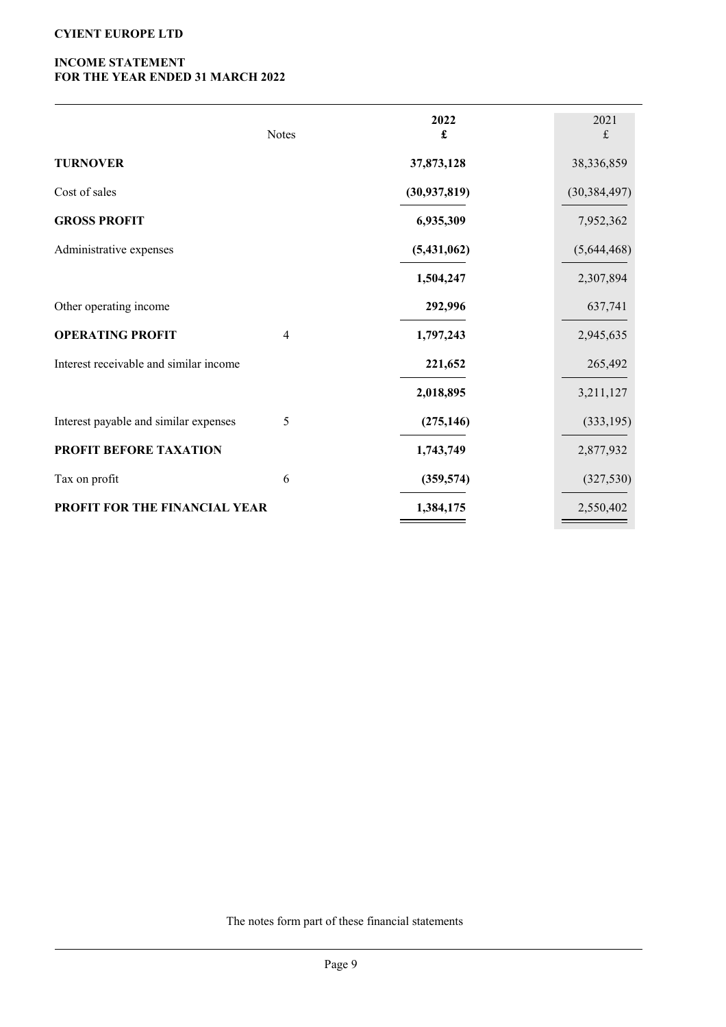# INCOME STATEMENT FOR THE YEAR ENDED 31 MARCH 2022

|                                        | <b>Notes</b>   | 2022<br>$\pmb{\mathfrak{L}}$ | 2021<br>£      |
|----------------------------------------|----------------|------------------------------|----------------|
| <b>TURNOVER</b>                        |                | 37,873,128                   | 38,336,859     |
| Cost of sales                          |                | (30, 937, 819)               | (30, 384, 497) |
| <b>GROSS PROFIT</b>                    |                | 6,935,309                    | 7,952,362      |
| Administrative expenses                |                | (5,431,062)                  | (5,644,468)    |
|                                        |                | 1,504,247                    | 2,307,894      |
| Other operating income                 |                | 292,996                      | 637,741        |
| <b>OPERATING PROFIT</b>                | $\overline{4}$ | 1,797,243                    | 2,945,635      |
| Interest receivable and similar income |                | 221,652                      | 265,492        |
|                                        |                | 2,018,895                    | 3,211,127      |
| Interest payable and similar expenses  | 5              | (275, 146)                   | (333, 195)     |
| PROFIT BEFORE TAXATION                 |                | 1,743,749                    | 2,877,932      |
| Tax on profit                          | 6              | (359, 574)                   | (327, 530)     |
| PROFIT FOR THE FINANCIAL YEAR          |                | 1,384,175                    | 2,550,402      |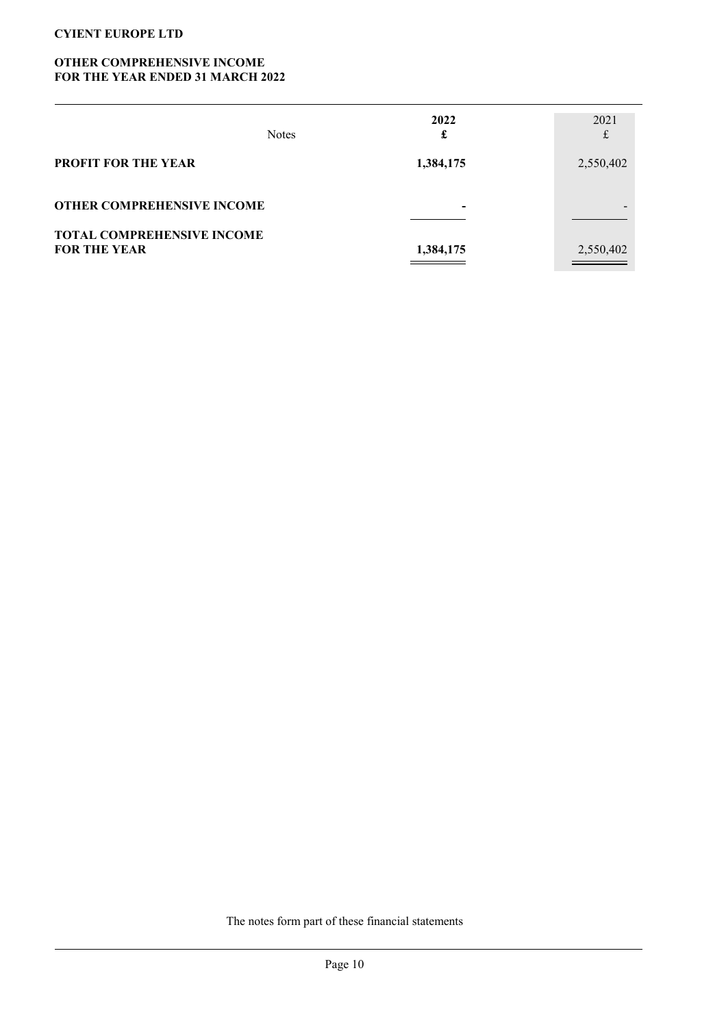## OTHER COMPREHENSIVE INCOME FOR THE YEAR ENDED 31 MARCH 2022

|                                                          | <b>Notes</b> | 2022<br>£ | 2021<br>£ |
|----------------------------------------------------------|--------------|-----------|-----------|
| <b>PROFIT FOR THE YEAR</b>                               |              | 1,384,175 | 2,550,402 |
| <b>OTHER COMPREHENSIVE INCOME</b>                        |              | $\,$      |           |
| <b>TOTAL COMPREHENSIVE INCOME</b><br><b>FOR THE YEAR</b> |              | 1,384,175 | 2,550,402 |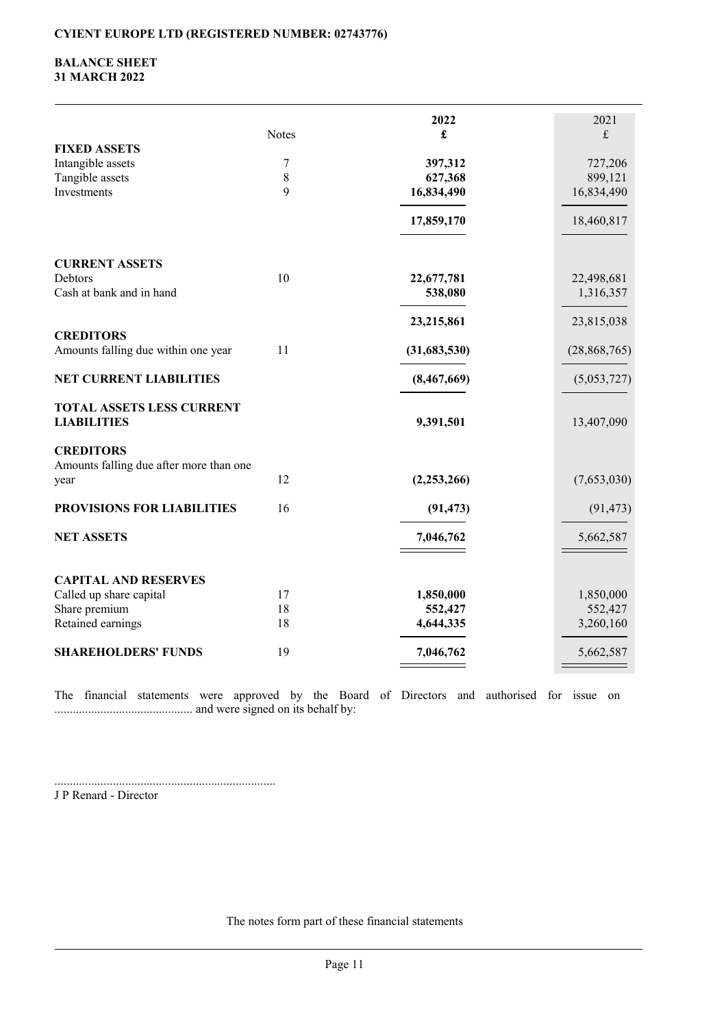## BALANCE SHEET 31 MARCH 2022

|                                                        |       | 2022          | 2021                      |
|--------------------------------------------------------|-------|---------------|---------------------------|
|                                                        | Notes | £             | $\ensuremath{\mathbf{f}}$ |
| <b>FIXED ASSETS</b>                                    |       |               |                           |
| Intangible assets                                      | 7     | 397,312       | 727,206                   |
| Tangible assets                                        | 8     | 627,368       | 899,121                   |
| Investments                                            | 9     | 16,834,490    | 16,834,490                |
|                                                        |       | 17,859,170    | 18,460,817                |
| <b>CURRENT ASSETS</b>                                  |       |               |                           |
| Debtors                                                | 10    | 22,677,781    | 22,498,681                |
| Cash at bank and in hand                               |       | 538,080       | 1,316,357                 |
|                                                        |       | 23,215,861    | 23,815,038                |
| <b>CREDITORS</b>                                       |       |               |                           |
| Amounts falling due within one year                    | 11    | (31,683,530)  | (28, 868, 765)            |
| <b>NET CURRENT LIABILITIES</b>                         |       | (8,467,669)   | (5,053,727)               |
| <b>TOTAL ASSETS LESS CURRENT</b><br><b>LIABILITIES</b> |       | 9,391,501     | 13,407,090                |
| <b>CREDITORS</b>                                       |       |               |                           |
| Amounts falling due after more than one                |       |               |                           |
| year                                                   | 12    | (2, 253, 266) | (7,653,030)               |
| PROVISIONS FOR LIABILITIES                             | 16    | (91, 473)     | (91, 473)                 |
| <b>NET ASSETS</b>                                      |       | 7,046,762     | 5,662,587                 |
|                                                        |       |               |                           |
| <b>CAPITAL AND RESERVES</b>                            |       |               |                           |
| Called up share capital                                | 17    | 1,850,000     | 1,850,000                 |
| Share premium                                          | 18    | 552,427       | 552,427                   |
| Retained earnings                                      | 18    | 4,644,335     | 3,260,160                 |
| <b>SHAREHOLDERS' FUNDS</b>                             | 19    | 7,046,762     | 5,662,587                 |
|                                                        |       |               |                           |

The financial statements were approved by the Board of Directors and authorised for issue on ............................................. and were signed on its behalf by:

........................................................................ J P Renard - Director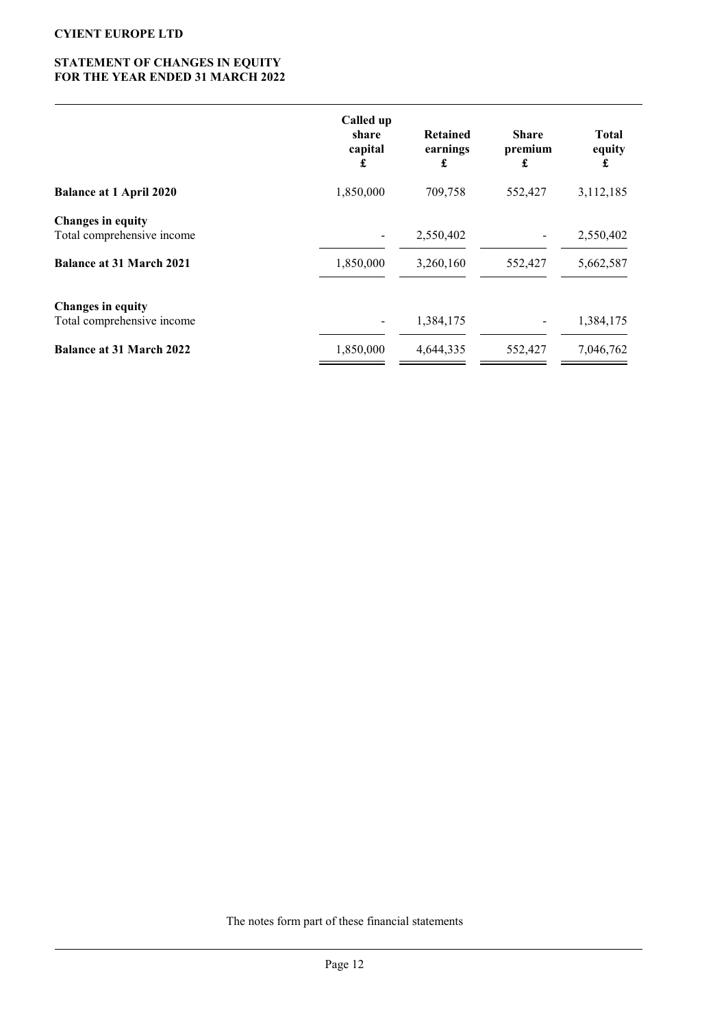## STATEMENT OF CHANGES IN EQUITY FOR THE YEAR ENDED 31 MARCH 2022

|                                                        | Called up<br>share<br>capital<br>£ | <b>Retained</b><br>earnings<br>£ | <b>Share</b><br>premium<br>£ | <b>Total</b><br>equity<br>£ |
|--------------------------------------------------------|------------------------------------|----------------------------------|------------------------------|-----------------------------|
| <b>Balance at 1 April 2020</b>                         | 1,850,000                          | 709,758                          | 552,427                      | 3,112,185                   |
| <b>Changes in equity</b><br>Total comprehensive income | $\blacksquare$                     | 2,550,402                        |                              | 2,550,402                   |
| <b>Balance at 31 March 2021</b>                        | 1,850,000                          | 3,260,160                        | 552,427                      | 5,662,587                   |
| Changes in equity<br>Total comprehensive income        | $\overline{\phantom{a}}$           | 1,384,175                        |                              | 1,384,175                   |
| <b>Balance at 31 March 2022</b>                        | 1,850,000                          | 4,644,335                        | 552,427                      | 7,046,762                   |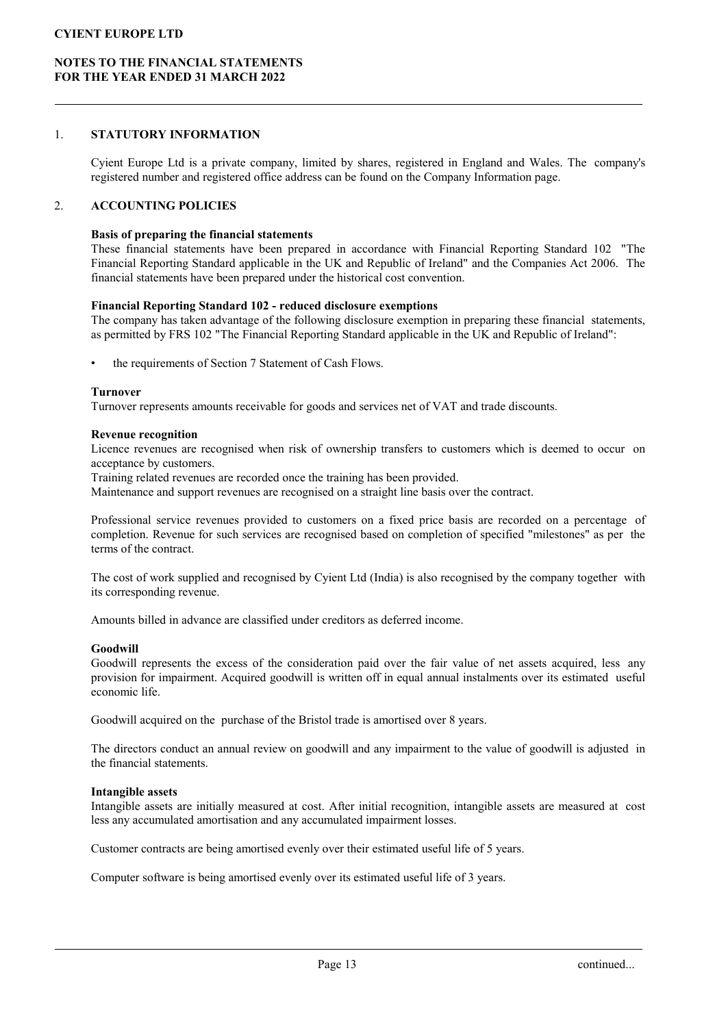### NOTES TO THE FINANCIAL STATEMENTS FOR THE YEAR ENDED 31 MARCH 2022

### 1. STATUTORY INFORMATION

Cyient Europe Ltd is a private company, limited by shares, registered in England and Wales. The company's registered number and registered office address can be found on the Company Information page.

### 2. ACCOUNTING POLICIES

### Basis of preparing the financial statements

These financial statements have been prepared in accordance with Financial Reporting Standard 102 "The Financial Reporting Standard applicable in the UK and Republic of Ireland" and the Companies Act 2006. The financial statements have been prepared under the historical cost convention.

### Financial Reporting Standard 102 - reduced disclosure exemptions

The company has taken advantage of the following disclosure exemption in preparing these financial statements, as permitted by FRS 102 "The Financial Reporting Standard applicable in the UK and Republic of Ireland":

the requirements of Section 7 Statement of Cash Flows.

#### Turnover

Turnover represents amounts receivable for goods and services net of VAT and trade discounts.

#### Revenue recognition

Licence revenues are recognised when risk of ownership transfers to customers which is deemed to occur on acceptance by customers.

Training related revenues are recorded once the training has been provided.

Maintenance and support revenues are recognised on a straight line basis over the contract.

Professional service revenues provided to customers on a fixed price basis are recorded on a percentage of completion. Revenue for such services are recognised based on completion of specified "milestones" as per the terms of the contract.

The cost of work supplied and recognised by Cyient Ltd (India) is also recognised by the company together with its corresponding revenue.

Amounts billed in advance are classified under creditors as deferred income.

#### Goodwill

Goodwill represents the excess of the consideration paid over the fair value of net assets acquired, less any provision for impairment. Acquired goodwill is written off in equal annual instalments over its estimated useful economic life.

Goodwill acquired on the purchase of the Bristol trade is amortised over 8 years.

The directors conduct an annual review on goodwill and any impairment to the value of goodwill is adjusted in the financial statements.

#### Intangible assets

Intangible assets are initially measured at cost. After initial recognition, intangible assets are measured at cost less any accumulated amortisation and any accumulated impairment losses.

Customer contracts are being amortised evenly over their estimated useful life of 5 years.

Computer software is being amortised evenly over its estimated useful life of 3 years.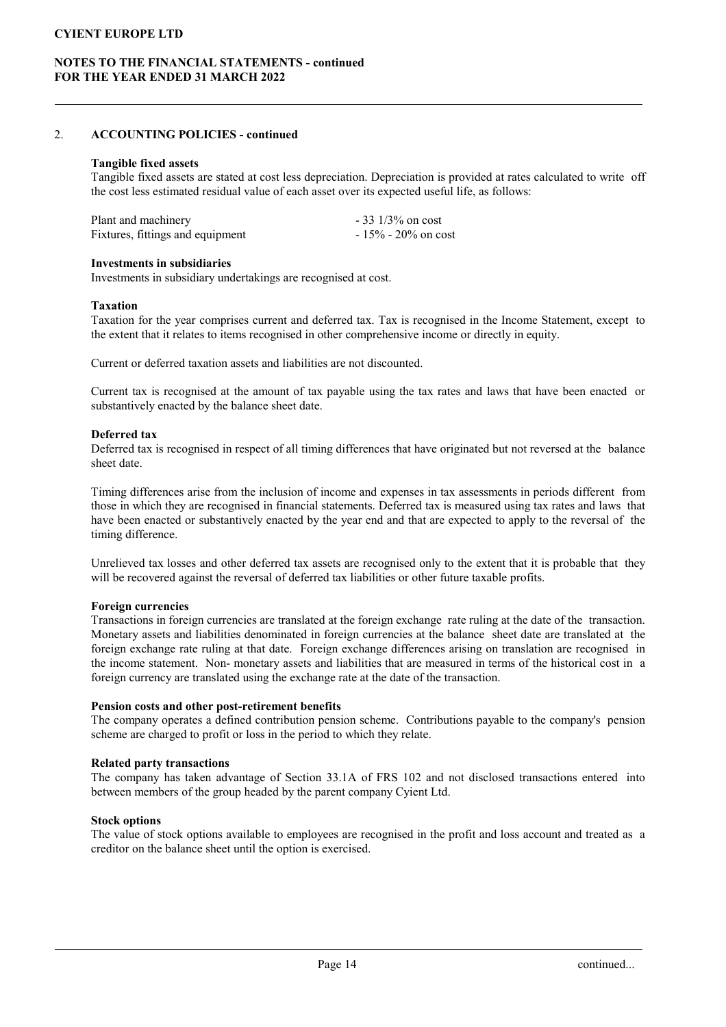## NOTES TO THE FINANCIAL STATEMENTS - continued FOR THE YEAR ENDED 31 MARCH 2022

### 2. ACCOUNTING POLICIES - continued

#### Tangible fixed assets

Tangible fixed assets are stated at cost less depreciation. Depreciation is provided at rates calculated to write off the cost less estimated residual value of each asset over its expected useful life, as follows:

| Plant and machinery              | $-33$ 1/3% on cost     |
|----------------------------------|------------------------|
| Fixtures, fittings and equipment | $-15\% - 20\%$ on cost |

#### Investments in subsidiaries

Investments in subsidiary undertakings are recognised at cost.

#### Taxation

Taxation for the year comprises current and deferred tax. Tax is recognised in the Income Statement, except to the extent that it relates to items recognised in other comprehensive income or directly in equity.

Current or deferred taxation assets and liabilities are not discounted.

Current tax is recognised at the amount of tax payable using the tax rates and laws that have been enacted or substantively enacted by the balance sheet date.

### Deferred tax

Deferred tax is recognised in respect of all timing differences that have originated but not reversed at the balance sheet date.

Timing differences arise from the inclusion of income and expenses in tax assessments in periods different from those in which they are recognised in financial statements. Deferred tax is measured using tax rates and laws that have been enacted or substantively enacted by the year end and that are expected to apply to the reversal of the timing difference.

Unrelieved tax losses and other deferred tax assets are recognised only to the extent that it is probable that they will be recovered against the reversal of deferred tax liabilities or other future taxable profits.

#### Foreign currencies

Transactions in foreign currencies are translated at the foreign exchange rate ruling at the date of the transaction. Monetary assets and liabilities denominated in foreign currencies at the balance sheet date are translated at the foreign exchange rate ruling at that date. Foreign exchange differences arising on translation are recognised in the income statement. Non- monetary assets and liabilities that are measured in terms of the historical cost in a foreign currency are translated using the exchange rate at the date of the transaction.

#### Pension costs and other post-retirement benefits

The company operates a defined contribution pension scheme. Contributions payable to the company's pension scheme are charged to profit or loss in the period to which they relate.

#### Related party transactions

The company has taken advantage of Section 33.1A of FRS 102 and not disclosed transactions entered into between members of the group headed by the parent company Cyient Ltd.

#### Stock options

The value of stock options available to employees are recognised in the profit and loss account and treated as a creditor on the balance sheet until the option is exercised.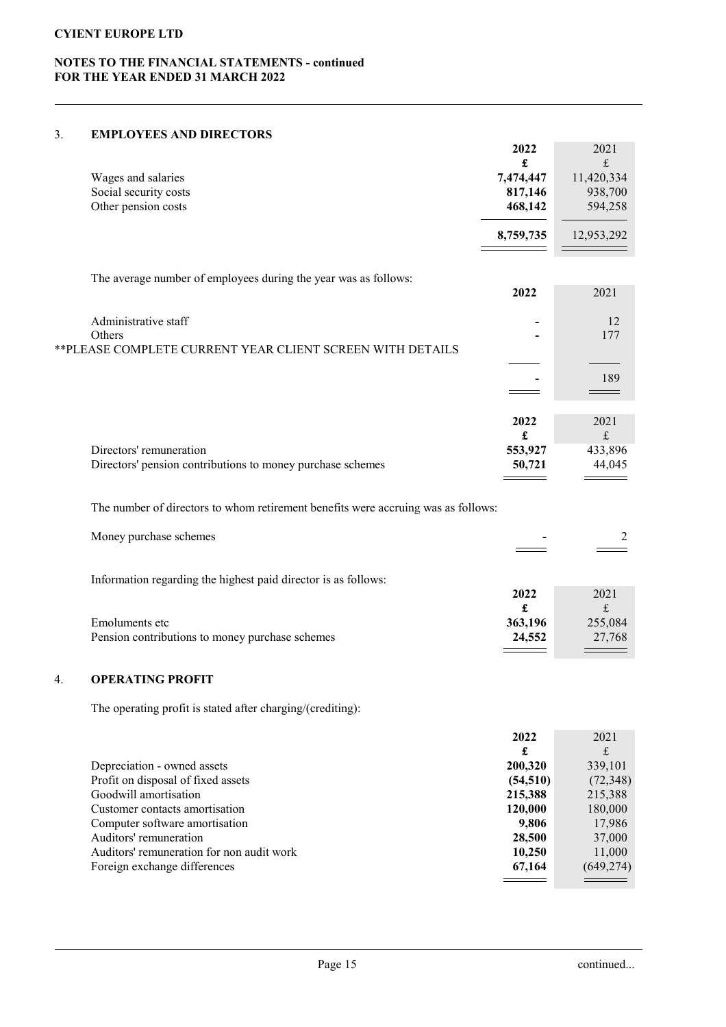# NOTES TO THE FINANCIAL STATEMENTS - continued FOR THE YEAR ENDED 31 MARCH 2022

### 3. EMPLOYEES AND DIRECTORS

|    |                                                                                   | 2022<br>£         | 2021<br>£             |
|----|-----------------------------------------------------------------------------------|-------------------|-----------------------|
|    | Wages and salaries                                                                | 7,474,447         | 11,420,334            |
|    | Social security costs                                                             | 817,146           | 938,700               |
|    | Other pension costs                                                               | 468,142           | 594,258               |
|    |                                                                                   | 8,759,735         | 12,953,292            |
|    | The average number of employees during the year was as follows:                   |                   |                       |
|    |                                                                                   | 2022              | 2021                  |
|    | Administrative staff                                                              |                   | 12                    |
|    | Others                                                                            |                   | 177                   |
|    | ** PLEASE COMPLETE CURRENT YEAR CLIENT SCREEN WITH DETAILS                        |                   |                       |
|    |                                                                                   |                   | 189                   |
|    |                                                                                   |                   |                       |
|    |                                                                                   |                   |                       |
|    |                                                                                   | 2022              | 2021                  |
|    | Directors' remuneration                                                           | £<br>553,927      | $\frak{t}$<br>433,896 |
|    | Directors' pension contributions to money purchase schemes                        | 50,721            | 44,045                |
|    |                                                                                   |                   |                       |
|    | The number of directors to whom retirement benefits were accruing was as follows: |                   |                       |
|    | Money purchase schemes                                                            |                   | 2                     |
|    |                                                                                   |                   |                       |
|    | Information regarding the highest paid director is as follows:                    |                   |                       |
|    |                                                                                   | 2022              | 2021                  |
|    |                                                                                   | £                 | $\frak{t}$            |
|    | Emoluments etc<br>Pension contributions to money purchase schemes                 | 363,196<br>24,552 | 255,084<br>27,768     |
|    |                                                                                   |                   |                       |
| 4. | <b>OPERATING PROFIT</b>                                                           |                   |                       |
|    |                                                                                   |                   |                       |

The operating profit is stated after charging/(crediting):

|                                           | 2022      | 2021       |
|-------------------------------------------|-----------|------------|
|                                           | £         | £          |
| Depreciation - owned assets               | 200,320   | 339,101    |
| Profit on disposal of fixed assets        | (54, 510) | (72, 348)  |
| Goodwill amortisation                     | 215,388   | 215,388    |
| Customer contacts amortisation            | 120,000   | 180,000    |
| Computer software amortisation            | 9,806     | 17,986     |
| Auditors' remuneration                    | 28,500    | 37,000     |
| Auditors' remuneration for non audit work | 10,250    | 11,000     |
| Foreign exchange differences              | 67,164    | (649, 274) |
|                                           |           |            |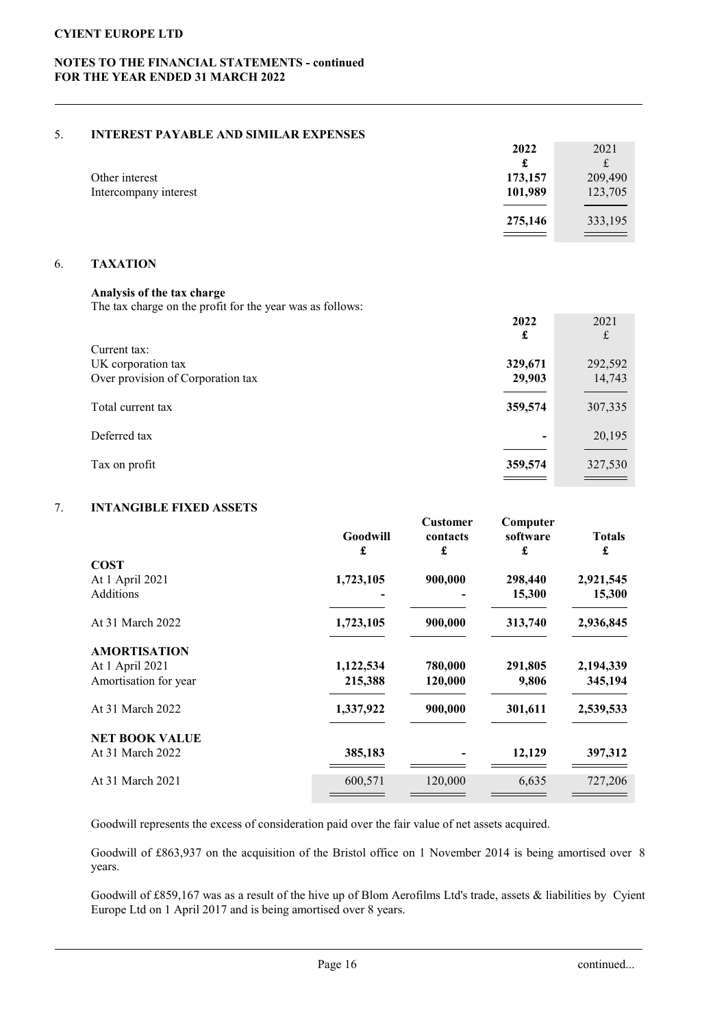## NOTES TO THE FINANCIAL STATEMENTS - continued FOR THE YEAR ENDED 31 MARCH 2022

### 5. INTEREST PAYABLE AND SIMILAR EXPENSES

|                       | 2022    | 2021                              |
|-----------------------|---------|-----------------------------------|
|                       | £       |                                   |
| Other interest        | 173,157 | 209,490                           |
| Intercompany interest | 101,989 | 123,705                           |
|                       |         |                                   |
|                       | 275,146 | 333,195                           |
|                       |         | and the control of the control of |

## 6. TAXATION

# Analysis of the tax charge

The tax charge on the profit for the year was as follows:

|                                    | 2022<br>£ | 2021<br>£ |
|------------------------------------|-----------|-----------|
| Current tax:<br>UK corporation tax | 329,671   | 292,592   |
| Over provision of Corporation tax  | 29,903    | 14,743    |
| Total current tax                  | 359,574   | 307,335   |
| Deferred tax                       | ٠         | 20,195    |
| Tax on profit                      | 359,574   | 327,530   |

# 7. INTANGIBLE FIXED ASSETS

|                       | Goodwill<br>£ | <b>Customer</b><br>contacts<br>£ | Computer<br>software<br>£ | <b>Totals</b><br>£ |
|-----------------------|---------------|----------------------------------|---------------------------|--------------------|
| <b>COST</b>           |               |                                  |                           |                    |
| At 1 April 2021       | 1,723,105     | 900,000                          | 298,440                   | 2,921,545          |
| <b>Additions</b>      |               |                                  | 15,300                    | 15,300             |
| At 31 March 2022      | 1,723,105     | 900,000                          | 313,740                   | 2,936,845          |
| <b>AMORTISATION</b>   |               |                                  |                           |                    |
| At 1 April 2021       | 1,122,534     | 780,000                          | 291,805                   | 2,194,339          |
| Amortisation for year | 215,388       | 120,000                          | 9,806                     | 345,194            |
| At 31 March 2022      | 1,337,922     | 900,000                          | 301,611                   | 2,539,533          |
| <b>NET BOOK VALUE</b> |               |                                  |                           |                    |
| At 31 March 2022      | 385,183       |                                  | 12,129                    | 397,312            |
| At 31 March 2021      | 600,571       | 120,000                          | 6,635                     | 727,206            |
|                       |               |                                  |                           |                    |

Goodwill represents the excess of consideration paid over the fair value of net assets acquired.

Goodwill of £863,937 on the acquisition of the Bristol office on 1 November 2014 is being amortised over 8 years.

Goodwill of £859,167 was as a result of the hive up of Blom Aerofilms Ltd's trade, assets & liabilities by Cyient Europe Ltd on 1 April 2017 and is being amortised over 8 years.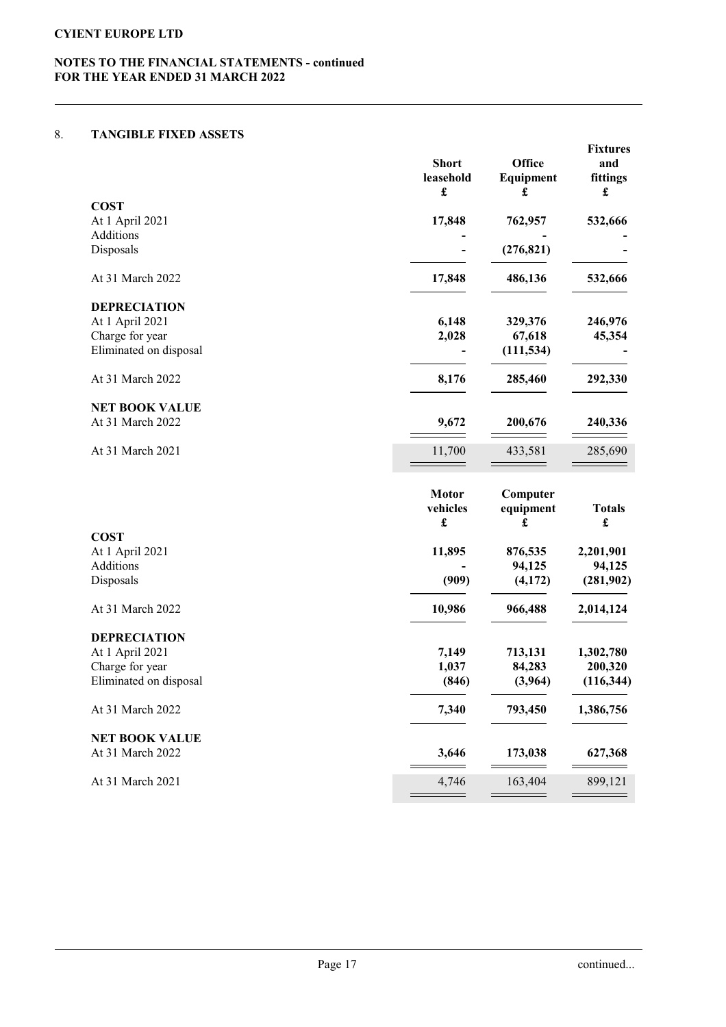## NOTES TO THE FINANCIAL STATEMENTS - continued FOR THE YEAR ENDED 31 MARCH 2022

### 8. TANGIBLE FIXED ASSETS

|                        | <b>Short</b><br>leasehold<br>£                   | Office<br>Equipment<br>£   | <b>Fixtures</b><br>and<br>fittings<br>£ |
|------------------------|--------------------------------------------------|----------------------------|-----------------------------------------|
| <b>COST</b>            |                                                  |                            |                                         |
| At 1 April 2021        | 17,848                                           | 762,957                    | 532,666                                 |
| Additions              |                                                  |                            |                                         |
| Disposals              |                                                  | (276, 821)                 |                                         |
| At 31 March 2022       | 17,848                                           | 486,136                    | 532,666                                 |
| <b>DEPRECIATION</b>    |                                                  |                            |                                         |
| At 1 April 2021        | 6,148                                            | 329,376                    | 246,976                                 |
| Charge for year        | 2,028                                            | 67,618                     | 45,354                                  |
| Eliminated on disposal |                                                  | (111, 534)                 |                                         |
| At 31 March 2022       | 8,176                                            | 285,460                    | 292,330                                 |
| <b>NET BOOK VALUE</b>  |                                                  |                            |                                         |
| At 31 March 2022       | 9,672                                            | 200,676                    | 240,336                                 |
| At 31 March 2021       | 11,700                                           | 433,581                    | 285,690                                 |
|                        | <b>Motor</b><br>vehicles<br>$\pmb{\mathfrak{L}}$ | Computer<br>equipment<br>£ | <b>Totals</b><br>$\pmb{\mathfrak{L}}$   |
| <b>COST</b>            |                                                  |                            |                                         |
| At 1 April 2021        | 11,895                                           | 876,535                    | 2,201,901                               |
| Additions              |                                                  | 94,125                     | 94,125                                  |
| Disposals              | (909)                                            | (4,172)                    | (281,902)                               |
| At 31 March 2022       | 10,986                                           | 966,488                    | 2,014,124                               |
| <b>DEPRECIATION</b>    |                                                  |                            |                                         |
|                        | 7.110                                            | F13.131                    | 1.202.500                               |

| <b>DEPRECIATION</b>    |       |         |            |
|------------------------|-------|---------|------------|
| At 1 April 2021        | 7.149 | 713,131 | 1,302,780  |
| Charge for year        | 1,037 | 84,283  | 200,320    |
| Eliminated on disposal | (846) | (3,964) | (116, 344) |
| At 31 March 2022       | 7.340 | 793,450 | 1,386,756  |
| <b>NET BOOK VALUE</b>  |       |         |            |
| At 31 March 2022       | 3.646 | 173,038 | 627,368    |

At 31 March 2021  $\frac{4,746}{\sqrt{163.404}} \frac{163,404}{\sqrt{163.404}} \frac{899,121}{\sqrt{163.404}}$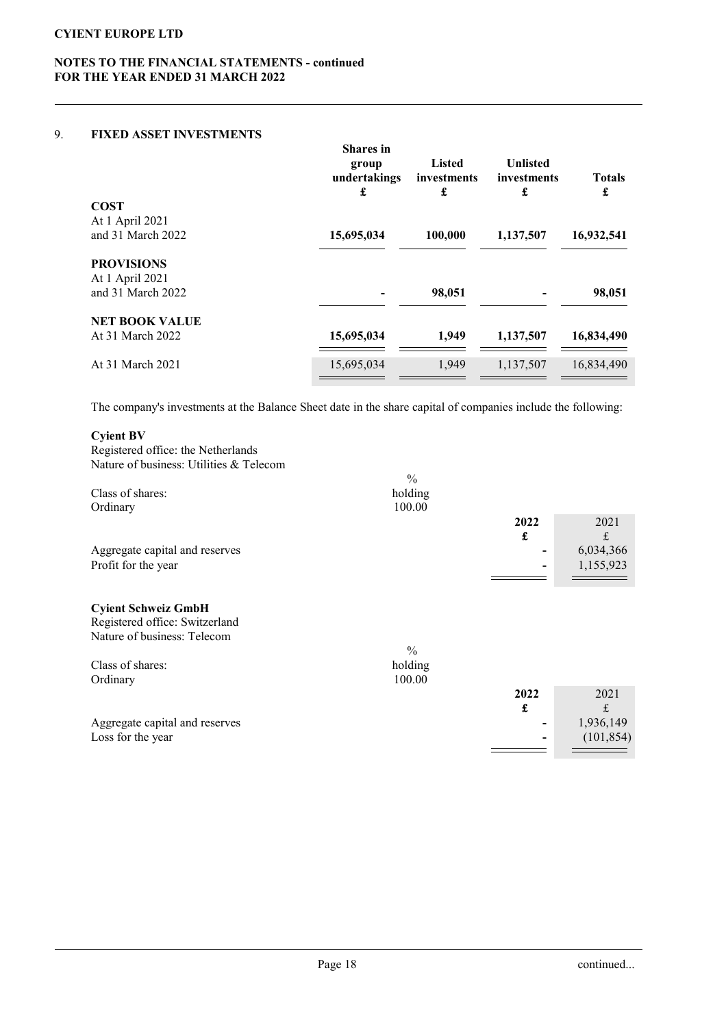# NOTES TO THE FINANCIAL STATEMENTS - continued FOR THE YEAR ENDED 31 MARCH 2022

### 9. FIXED ASSET INVESTMENTS

|                       | <b>Shares</b> in<br>group<br>undertakings<br>£ | <b>Listed</b><br>investments<br>£ | <b>Unlisted</b><br>investments<br>£ | <b>Totals</b><br>£ |
|-----------------------|------------------------------------------------|-----------------------------------|-------------------------------------|--------------------|
| <b>COST</b>           |                                                |                                   |                                     |                    |
| At 1 April 2021       |                                                |                                   |                                     |                    |
| and 31 March 2022     | 15,695,034                                     | 100,000                           | 1,137,507                           | 16,932,541         |
| <b>PROVISIONS</b>     |                                                |                                   |                                     |                    |
| At 1 April 2021       |                                                |                                   |                                     |                    |
| and 31 March 2022     |                                                | 98,051                            |                                     | 98,051             |
| <b>NET BOOK VALUE</b> |                                                |                                   |                                     |                    |
| At 31 March 2022      | 15,695,034                                     | 1.949                             | 1,137,507                           | 16,834,490         |
| At 31 March 2021      | 15,695,034                                     | 1,949                             | 1,137,507                           | 16,834,490         |
|                       |                                                |                                   |                                     |                    |

The company's investments at the Balance Sheet date in the share capital of companies include the following:

### Cyient BV

Registered office: the Netherlands Nature of business: Utilities & Telecom

| Class of shares:               | $\frac{0}{0}$<br>holding |                          |            |
|--------------------------------|--------------------------|--------------------------|------------|
|                                |                          |                          |            |
| Ordinary                       | 100.00                   |                          |            |
|                                |                          | 2022                     | 2021       |
|                                |                          | £                        | £          |
| Aggregate capital and reserves |                          |                          | 6,034,366  |
| Profit for the year            |                          | $\overline{\phantom{0}}$ | 1,155,923  |
|                                |                          |                          |            |
|                                |                          |                          |            |
| <b>Cyient Schweiz GmbH</b>     |                          |                          |            |
| Registered office: Switzerland |                          |                          |            |
| Nature of business: Telecom    |                          |                          |            |
|                                | $\frac{0}{0}$            |                          |            |
| Class of shares:               | holding                  |                          |            |
|                                | 100.00                   |                          |            |
| Ordinary                       |                          |                          |            |
|                                |                          | 2022                     | 2021       |
|                                |                          | £                        | £          |
| Aggregate capital and reserves |                          |                          | 1,936,149  |
|                                |                          |                          |            |
|                                |                          |                          |            |
| Loss for the year              |                          |                          | (101, 854) |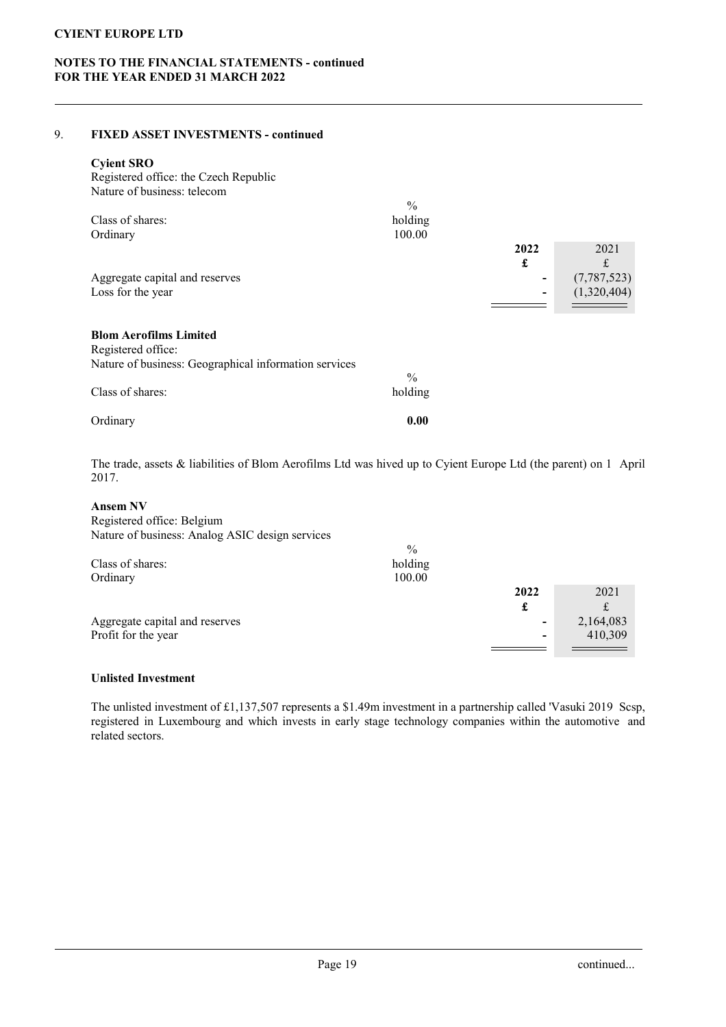## NOTES TO THE FINANCIAL STATEMENTS - continued FOR THE YEAR ENDED 31 MARCH 2022

### 9. FIXED ASSET INVESTMENTS - continued

### Cyient SRO

| Registered office: the Czech Republic                                                                        |                                    |      |               |
|--------------------------------------------------------------------------------------------------------------|------------------------------------|------|---------------|
| Nature of business: telecom                                                                                  |                                    |      |               |
| Class of shares:<br>Ordinary                                                                                 | $\frac{0}{0}$<br>holding<br>100.00 |      |               |
|                                                                                                              |                                    | 2022 | 2021          |
|                                                                                                              |                                    | £    | £             |
| Aggregate capital and reserves                                                                               |                                    | -    | (7, 787, 523) |
| Loss for the year                                                                                            |                                    | -    | (1,320,404)   |
| <b>Blom Aerofilms Limited</b><br>Registered office:<br>Nature of business: Geographical information services |                                    |      |               |
| Class of shares:                                                                                             | $\frac{0}{0}$<br>holding           |      |               |
| Ordinary                                                                                                     | 0.00                               |      |               |

The trade, assets & liabilities of Blom Aerofilms Ltd was hived up to Cyient Europe Ltd (the parent) on 1 April 2017.

### Ansem NV

Registered office: Belgium Nature of business: Analog ASIC design services

|                                | $\frac{0}{0}$ |                |           |
|--------------------------------|---------------|----------------|-----------|
| Class of shares:               | holding       |                |           |
| Ordinary                       | 100.00        |                |           |
|                                |               | 2022           | 2021      |
|                                |               | £              |           |
| Aggregate capital and reserves |               | -              | 2,164,083 |
| Profit for the year            |               | $\blacksquare$ | 410,309   |
|                                |               |                |           |

### Unlisted Investment

The unlisted investment of £1,137,507 represents a \$1.49m investment in a partnership called 'Vasuki 2019 Scsp, registered in Luxembourg and which invests in early stage technology companies within the automotive and related sectors.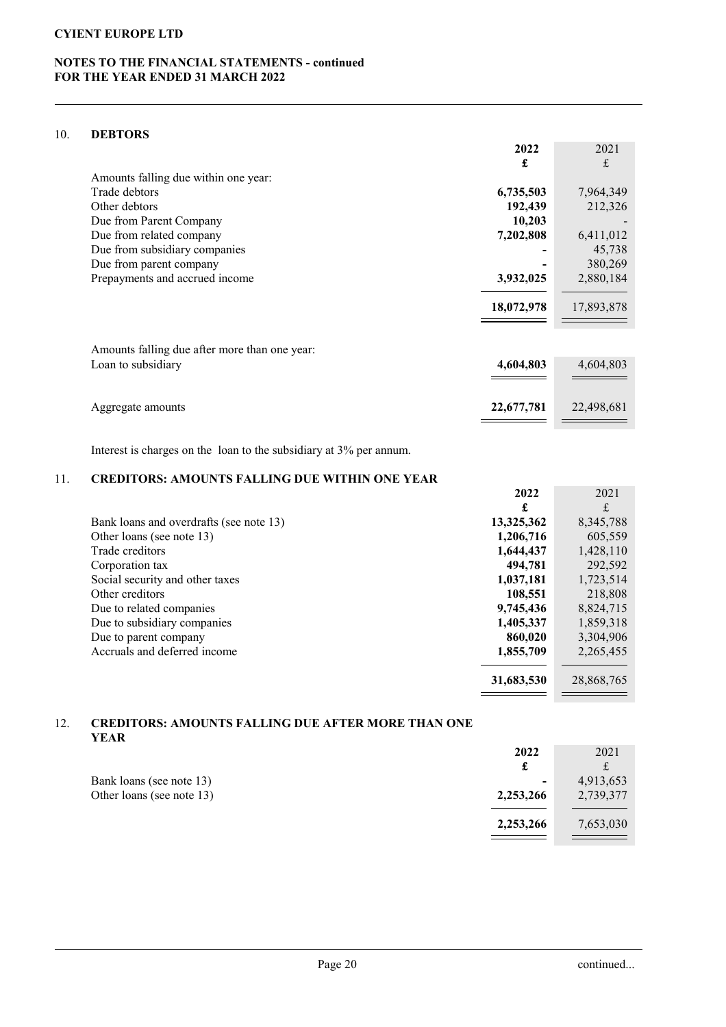# NOTES TO THE FINANCIAL STATEMENTS - continued FOR THE YEAR ENDED 31 MARCH 2022

### 10. DEBTORS

|                                               | 2022       | 2021       |
|-----------------------------------------------|------------|------------|
|                                               | £          | £          |
| Amounts falling due within one year:          |            |            |
| Trade debtors                                 | 6,735,503  | 7,964,349  |
| Other debtors                                 | 192,439    | 212,326    |
| Due from Parent Company                       | 10,203     |            |
| Due from related company                      | 7,202,808  | 6,411,012  |
| Due from subsidiary companies                 |            | 45,738     |
| Due from parent company                       |            | 380,269    |
| Prepayments and accrued income                | 3,932,025  | 2,880,184  |
|                                               | 18,072,978 | 17,893,878 |
| Amounts falling due after more than one year: |            |            |
| Loan to subsidiary                            | 4,604,803  | 4,604,803  |
|                                               |            |            |
| Aggregate amounts                             | 22,677,781 | 22,498,681 |
|                                               |            |            |

Interest is charges on the loan to the subsidiary at 3% per annum.

# 11. CREDITORS: AMOUNTS FALLING DUE WITHIN ONE YEAR

|                                         | 2022       | 2021       |
|-----------------------------------------|------------|------------|
|                                         | £          | £          |
| Bank loans and overdrafts (see note 13) | 13,325,362 | 8,345,788  |
| Other loans (see note 13)               | 1,206,716  | 605,559    |
| Trade creditors                         | 1,644,437  | 1,428,110  |
| Corporation tax                         | 494,781    | 292,592    |
| Social security and other taxes         | 1,037,181  | 1,723,514  |
| Other creditors                         | 108,551    | 218,808    |
| Due to related companies                | 9,745,436  | 8,824,715  |
| Due to subsidiary companies             | 1,405,337  | 1,859,318  |
| Due to parent company                   | 860,020    | 3,304,906  |
| Accruals and deferred income            | 1,855,709  | 2,265,455  |
|                                         |            |            |
|                                         | 31,683,530 | 28,868,765 |
|                                         |            |            |

### 12. CREDITORS: AMOUNTS FALLING DUE AFTER MORE THAN ONE YEAR

|                           | 2022           | 2021      |
|---------------------------|----------------|-----------|
|                           |                |           |
| Bank loans (see note 13)  | $\blacksquare$ | 4,913,653 |
| Other loans (see note 13) | 2,253,266      | 2,739,377 |
|                           | 2,253,266      | 7,653,030 |
|                           |                |           |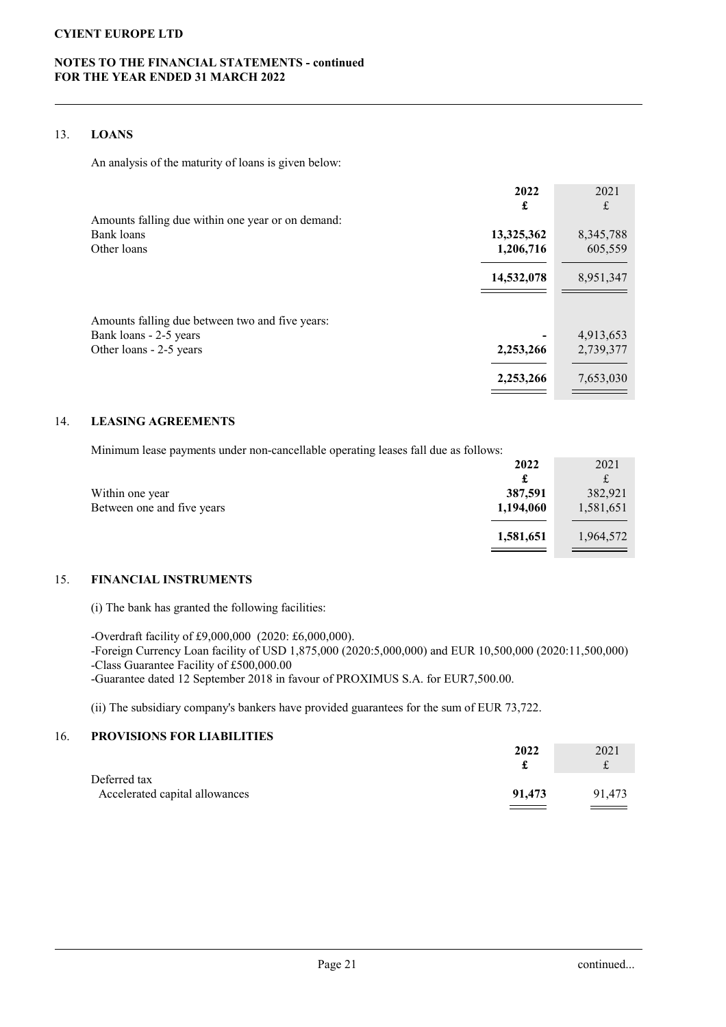## NOTES TO THE FINANCIAL STATEMENTS - continued FOR THE YEAR ENDED 31 MARCH 2022

### 13. LOANS

An analysis of the maturity of loans is given below:

|                                                   | 2022       | 2021      |
|---------------------------------------------------|------------|-----------|
|                                                   | £          | £         |
| Amounts falling due within one year or on demand: |            |           |
| Bank loans                                        | 13,325,362 | 8,345,788 |
| Other loans                                       | 1,206,716  | 605,559   |
|                                                   | 14,532,078 | 8,951,347 |
|                                                   |            |           |
| Amounts falling due between two and five years:   |            |           |
| Bank loans - 2-5 years                            |            | 4,913,653 |
| Other loans - 2-5 years                           | 2,253,266  | 2,739,377 |
|                                                   | 2,253,266  | 7,653,030 |

## 14. LEASING AGREEMENTS

Minimum lease payments under non-cancellable operating leases fall due as follows:

|                            | 2022      | 2021      |
|----------------------------|-----------|-----------|
|                            | £         |           |
| Within one year            | 387,591   | 382,921   |
| Between one and five years | 1,194,060 | 1,581,651 |
|                            |           |           |
|                            | 1,581,651 | 1,964,572 |
|                            |           |           |

### 15. FINANCIAL INSTRUMENTS

(i) The bank has granted the following facilities:

-Overdraft facility of £9,000,000 (2020: £6,000,000). -Foreign Currency Loan facility of USD 1,875,000 (2020:5,000,000) and EUR 10,500,000 (2020:11,500,000) -Class Guarantee Facility of £500,000.00 -Guarantee dated 12 September 2018 in favour of PROXIMUS S.A. for EUR7,500.00.

(ii) The subsidiary company's bankers have provided guarantees for the sum of EUR 73,722.

## 16. PROVISIONS FOR LIABILITIES

|                                | 2022   | 2021   |
|--------------------------------|--------|--------|
|                                |        |        |
| Deferred tax                   |        |        |
| Accelerated capital allowances | 91,473 | 91.473 |
|                                |        |        |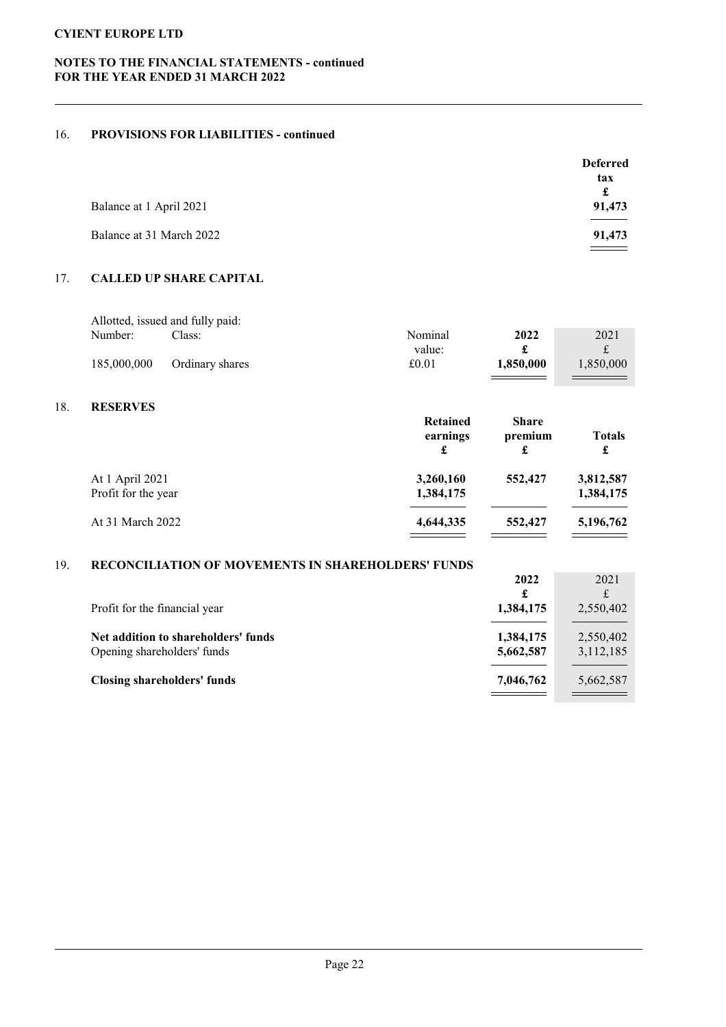# NOTES TO THE FINANCIAL STATEMENTS - continued FOR THE YEAR ENDED 31 MARCH 2022

## 16. PROVISIONS FOR LIABILITIES - continued

|                          | <b>Deferred</b> |
|--------------------------|-----------------|
|                          | tax             |
|                          | £               |
| Balance at 1 April 2021  | 91,473          |
|                          |                 |
| Balance at 31 March 2022 | 91,473          |
|                          |                 |

# 17. CALLED UP SHARE CAPITAL

|             | Allotted, issued and fully paid: |         |           |           |
|-------------|----------------------------------|---------|-----------|-----------|
| Number:     | lass:                            | Nominal | 2022      | 2021      |
|             |                                  | value:  |           |           |
| 185,000,000 | Ordinary shares                  | £0.01   | 1,850,000 | 1.850.000 |
|             |                                  |         |           |           |

## 18. RESERVES

|                                        | <b>Retained</b><br>earnings<br>£ | <b>Share</b><br>premium<br>£ | <b>Totals</b><br>£     |
|----------------------------------------|----------------------------------|------------------------------|------------------------|
| At 1 April 2021<br>Profit for the year | 3,260,160<br>1,384,175           | 552,427                      | 3,812,587<br>1,384,175 |
| At 31 March 2022                       | 4,644,335                        | 552,427                      | 5,196,762              |

### 19. RECONCILIATION OF MOVEMENTS IN SHAREHOLDERS' FUNDS

|                                                                    | 2022                   | 2021                   |
|--------------------------------------------------------------------|------------------------|------------------------|
| Profit for the financial year                                      | £<br>1,384,175         | 2,550,402              |
| Net addition to shareholders' funds<br>Opening shareholders' funds | 1,384,175<br>5,662,587 | 2,550,402<br>3,112,185 |
| Closing shareholders' funds                                        | 7,046,762              | 5,662,587              |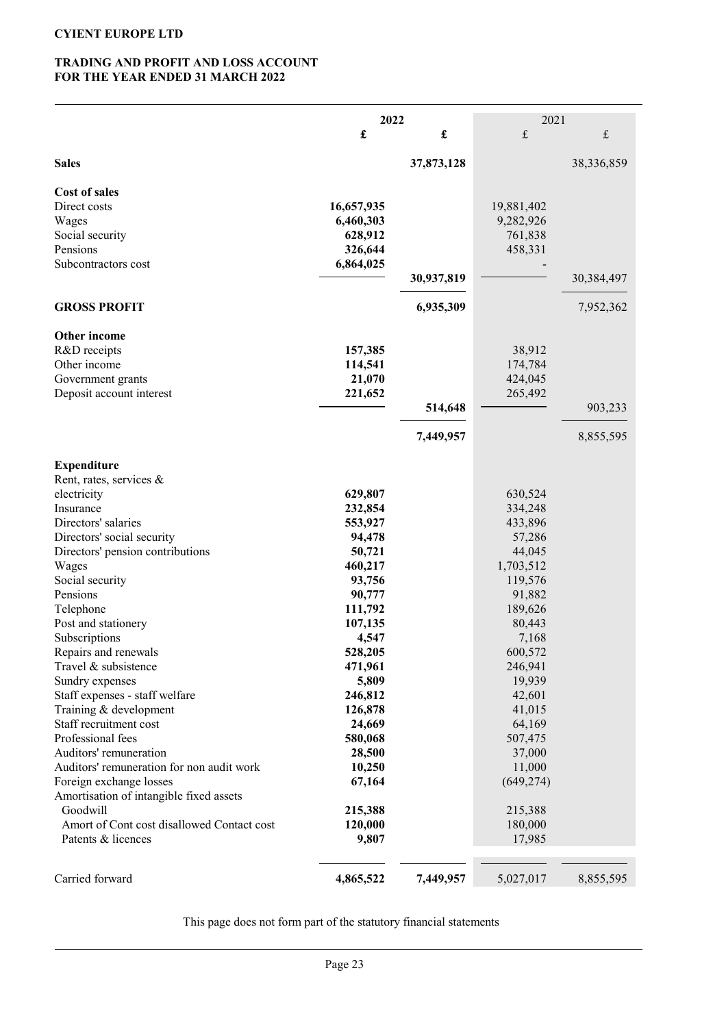## TRADING AND PROFIT AND LOSS ACCOUNT FOR THE YEAR ENDED 31 MARCH 2022

|                                                  | 2022               |            | 2021             |                           |
|--------------------------------------------------|--------------------|------------|------------------|---------------------------|
|                                                  | £                  | £          | $\mathbf f$      | $\ensuremath{\mathbf{f}}$ |
| <b>Sales</b>                                     |                    | 37,873,128 |                  | 38,336,859                |
| Cost of sales                                    |                    |            |                  |                           |
| Direct costs                                     | 16,657,935         |            | 19,881,402       |                           |
| Wages                                            | 6,460,303          |            | 9,282,926        |                           |
| Social security                                  | 628,912            |            | 761,838          |                           |
| Pensions                                         | 326,644            |            | 458,331          |                           |
| Subcontractors cost                              | 6,864,025          |            |                  |                           |
|                                                  |                    | 30,937,819 |                  | 30,384,497                |
| <b>GROSS PROFIT</b>                              |                    | 6,935,309  |                  | 7,952,362                 |
| Other income                                     |                    |            |                  |                           |
| R&D receipts                                     | 157,385            |            | 38,912           |                           |
| Other income                                     | 114,541            |            | 174,784          |                           |
| Government grants                                | 21,070             |            | 424,045          |                           |
| Deposit account interest                         | 221,652            |            | 265,492          |                           |
|                                                  |                    | 514,648    |                  | 903,233                   |
|                                                  |                    | 7,449,957  |                  | 8,855,595                 |
| <b>Expenditure</b>                               |                    |            |                  |                           |
| Rent, rates, services &                          |                    |            |                  |                           |
| electricity                                      | 629,807            |            | 630,524          |                           |
| Insurance                                        | 232,854            |            | 334,248          |                           |
| Directors' salaries                              | 553,927            |            | 433,896          |                           |
| Directors' social security                       | 94,478             |            | 57,286           |                           |
| Directors' pension contributions                 | 50,721             |            | 44,045           |                           |
| Wages                                            | 460,217            |            | 1,703,512        |                           |
| Social security                                  | 93,756             |            | 119,576          |                           |
| Pensions                                         | 90,777             |            | 91,882           |                           |
| Telephone                                        | 111,792            |            | 189,626          |                           |
| Post and stationery                              | 107,135            |            | 80,443           |                           |
| Subscriptions                                    | 4,547              |            | 7,168            |                           |
| Repairs and renewals                             | 528,205            |            | 600,572          |                           |
| Travel & subsistence                             | 471,961            |            | 246,941          |                           |
| Sundry expenses                                  | 5,809              |            | 19,939           |                           |
| Staff expenses - staff welfare                   | 246,812<br>126,878 |            | 42,601           |                           |
| Training & development<br>Staff recruitment cost | 24,669             |            | 41,015<br>64,169 |                           |
| Professional fees                                | 580,068            |            | 507,475          |                           |
| Auditors' remuneration                           | 28,500             |            | 37,000           |                           |
| Auditors' remuneration for non audit work        | 10,250             |            | 11,000           |                           |
| Foreign exchange losses                          | 67,164             |            | (649, 274)       |                           |
| Amortisation of intangible fixed assets          |                    |            |                  |                           |
| Goodwill                                         | 215,388            |            | 215,388          |                           |
| Amort of Cont cost disallowed Contact cost       | 120,000            |            | 180,000          |                           |
| Patents & licences                               | 9,807              |            | 17,985           |                           |
| Carried forward                                  | 4,865,522          | 7,449,957  | 5,027,017        | 8,855,595                 |
|                                                  |                    |            |                  |                           |

This page does not form part of the statutory financial statements